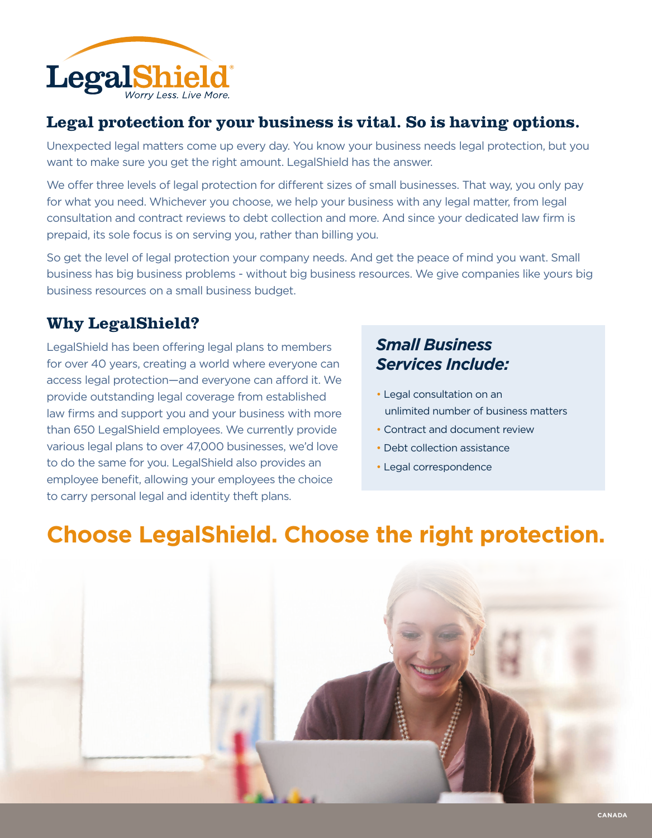

### **Legal protection for your business is vital. So is having options.**

Unexpected legal matters come up every day. You know your business needs legal protection, but you want to make sure you get the right amount. LegalShield has the answer.

We offer three levels of legal protection for different sizes of small businesses. That way, you only pay for what you need. Whichever you choose, we help your business with any legal matter, from legal consultation and contract reviews to debt collection and more. And since your dedicated law firm is prepaid, its sole focus is on serving you, rather than billing you.

So get the level of legal protection your company needs. And get the peace of mind you want. Small business has big business problems - without big business resources. We give companies like yours big business resources on a small business budget.

## **Why LegalShield?**

LegalShield has been offering legal plans to members for over 40 years, creating a world where everyone can access legal protection—and everyone can afford it. We provide outstanding legal coverage from established law firms and support you and your business with more than 650 LegalShield employees. We currently provide various legal plans to over 47,000 businesses, we'd love to do the same for you. LegalShield also provides an employee benefit, allowing your employees the choice to carry personal legal and identity theft plans.

## *Small Business Services Include:*

- Legal consultation on an unlimited number of business matters
- Contract and document review
- Debt collection assistance
- Legal correspondence

## **Choose LegalShield. Choose the right protection.**